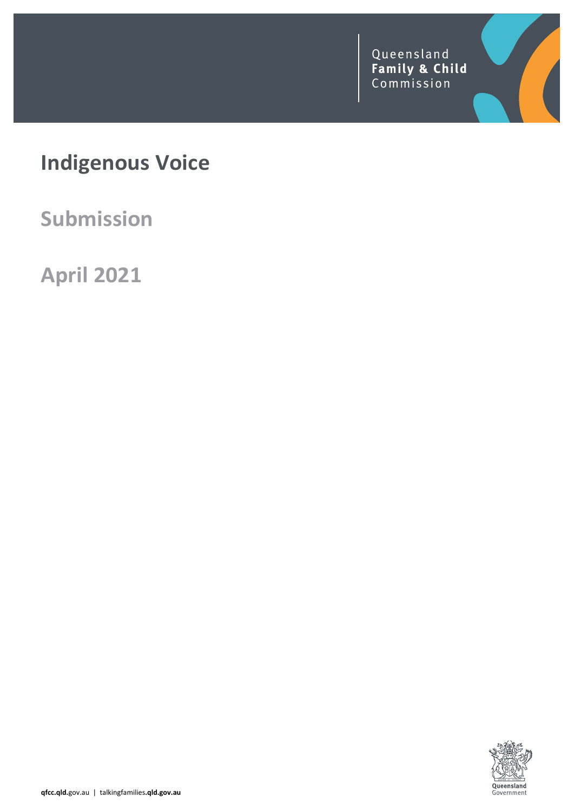Queensland<br>Family & Child<br>Commission

# **Indigenous Voice**

**Submission**

**April 2021**

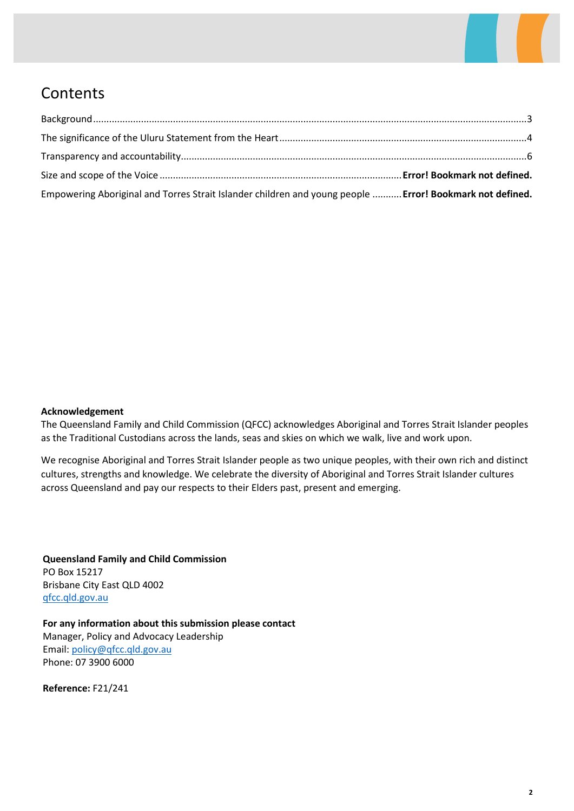

## **Contents**

| Empowering Aboriginal and Torres Strait Islander children and young people  Error! Bookmark not defined. |  |
|----------------------------------------------------------------------------------------------------------|--|

### **Acknowledgement**

The Queensland Family and Child Commission (QFCC) acknowledges Aboriginal and Torres Strait Islander peoples as the Traditional Custodians across the lands, seas and skies on which we walk, live and work upon.

We recognise Aboriginal and Torres Strait Islander people as two unique peoples, with their own rich and distinct cultures, strengths and knowledge. We celebrate the diversity of Aboriginal and Torres Strait Islander cultures across Queensland and pay our respects to their Elders past, present and emerging.

**Queensland Family and Child Commission** PO Box 15217 Brisbane City East QLD 4002 [qfcc.qld.gov.au](http://qfcc.qld.gov.au/)

**For any information about this submission please contact** Manager, Policy and Advocacy Leadership Email: [policy@qfcc.qld.gov.au](mailto:policy@qfcc.qld.gov.au) Phone: 07 3900 6000

**Reference:** F21/241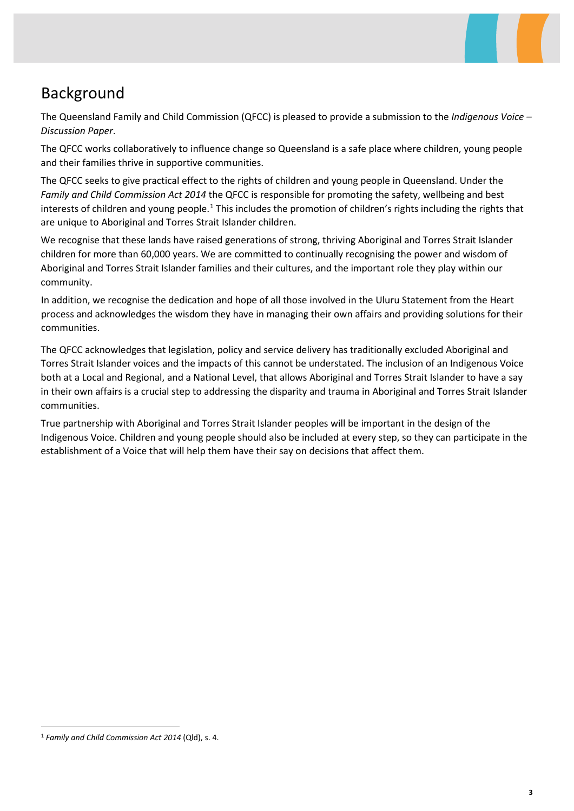## <span id="page-2-0"></span>Background

The Queensland Family and Child Commission (QFCC) is pleased to provide a submission to the *Indigenous Voice – Discussion Paper*.

The QFCC works collaboratively to influence change so Queensland is a safe place where children, young people and their families thrive in supportive communities.

The QFCC seeks to give practical effect to the rights of children and young people in Queensland. Under the *Family and Child Commission Act 2014* the QFCC is responsible for promoting the safety, wellbeing and best interests of children and young people.<sup>[1](#page-2-1)</sup> This includes the promotion of children's rights including the rights that are unique to Aboriginal and Torres Strait Islander children.

We recognise that these lands have raised generations of strong, thriving Aboriginal and Torres Strait Islander children for more than 60,000 years. We are committed to continually recognising the power and wisdom of Aboriginal and Torres Strait Islander families and their cultures, and the important role they play within our community.

In addition, we recognise the dedication and hope of all those involved in the Uluru Statement from the Heart process and acknowledges the wisdom they have in managing their own affairs and providing solutions for their communities.

The QFCC acknowledges that legislation, policy and service delivery has traditionally excluded Aboriginal and Torres Strait Islander voices and the impacts of this cannot be understated. The inclusion of an Indigenous Voice both at a Local and Regional, and a National Level, that allows Aboriginal and Torres Strait Islander to have a say in their own affairs is a crucial step to addressing the disparity and trauma in Aboriginal and Torres Strait Islander communities.

True partnership with Aboriginal and Torres Strait Islander peoples will be important in the design of the Indigenous Voice. Children and young people should also be included at every step, so they can participate in the establishment of a Voice that will help them have their say on decisions that affect them.

<span id="page-2-1"></span> <sup>1</sup> *Family and Child Commission Act <sup>2014</sup>* (Qld), s. 4.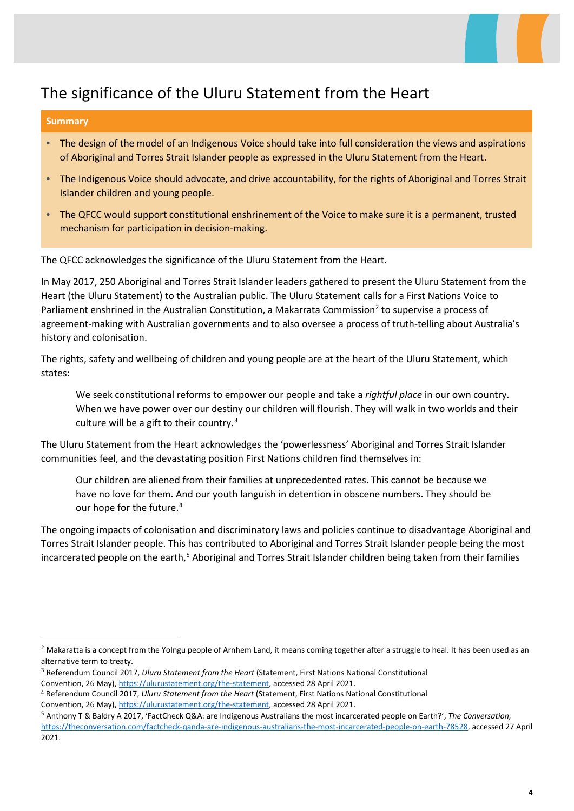

## <span id="page-3-0"></span>The significance of the Uluru Statement from the Heart

### **Summary**

- The design of the model of an Indigenous Voice should take into full consideration the views and aspirations of Aboriginal and Torres Strait Islander people as expressed in the Uluru Statement from the Heart.
- The Indigenous Voice should advocate, and drive accountability, for the rights of Aboriginal and Torres Strait Islander children and young people.
- The QFCC would support constitutional enshrinement of the Voice to make sure it is a permanent, trusted mechanism for participation in decision-making.

The QFCC acknowledges the significance of the Uluru Statement from the Heart.

In May 2017, 250 Aboriginal and Torres Strait Islander leaders gathered to present the Uluru Statement from the Heart (the Uluru Statement) to the Australian public. The Uluru Statement calls for a First Nations Voice to Parliament enshrined in the Australian Constitution, a Makarrata Commission<sup>[2](#page-3-1)</sup> to supervise a process of agreement-making with Australian governments and to also oversee a process of truth-telling about Australia's history and colonisation.

The rights, safety and wellbeing of children and young people are at the heart of the Uluru Statement, which states:

We seek constitutional reforms to empower our people and take a *rightful place* in our own country. When we have power over our destiny our children will flourish. They will walk in two worlds and their culture will be a gift to their country.[3](#page-3-2)

The Uluru Statement from the Heart acknowledges the 'powerlessness' Aboriginal and Torres Strait Islander communities feel, and the devastating position First Nations children find themselves in:

Our children are aliened from their families at unprecedented rates. This cannot be because we have no love for them. And our youth languish in detention in obscene numbers. They should be our hope for the future.<sup>[4](#page-3-3)</sup>

The ongoing impacts of colonisation and discriminatory laws and policies continue to disadvantage Aboriginal and Torres Strait Islander people. This has contributed to Aboriginal and Torres Strait Islander people being the most incarcerated people on the earth,<sup>5</sup> Aboriginal and Torres Strait Islander children being taken from their families

<span id="page-3-1"></span><sup>&</sup>lt;sup>2</sup> Makaratta is a concept from the Yolngu people of Arnhem Land, it means coming together after a struggle to heal. It has been used as an alternative term to treaty.

<span id="page-3-2"></span><sup>3</sup> Referendum Council 2017, *Uluru Statement from the Heart* (Statement, First Nations National Constitutional Convention, 26 May), [https://ulurustatement.org/the-statement,](https://ulurustatement.org/the-statement) accessed 28 April 2021.

<span id="page-3-3"></span><sup>4</sup> Referendum Council 2017, *Uluru Statement from the Heart* (Statement, First Nations National Constitutional Convention, 26 May), [https://ulurustatement.org/the-statement,](https://ulurustatement.org/the-statement) accessed 28 April 2021.

<span id="page-3-4"></span><sup>5</sup> Anthony T & Baldry A 2017, 'FactCheck Q&A: are Indigenous Australians the most incarcerated people on Earth?', *The Conversation,* [https://theconversation.com/factcheck-qanda-are-indigenous-australians-the-most-incarcerated-people-on-earth-78528,](https://theconversation.com/factcheck-qanda-are-indigenous-australians-the-most-incarcerated-people-on-earth-78528) accessed 27 April 2021.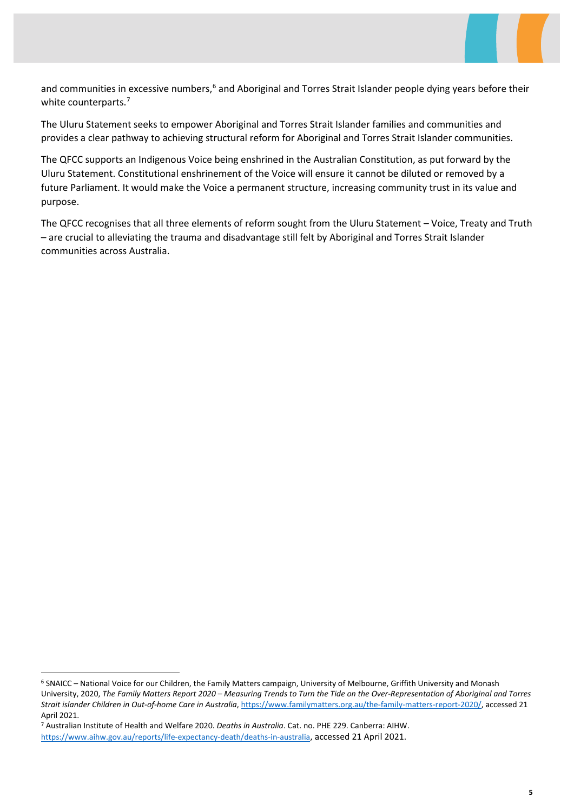

and communities in excessive numbers,<sup>[6](#page-4-0)</sup> and Aboriginal and Torres Strait Islander people dying years before their white counterparts.<sup>[7](#page-4-1)</sup>

The Uluru Statement seeks to empower Aboriginal and Torres Strait Islander families and communities and provides a clear pathway to achieving structural reform for Aboriginal and Torres Strait Islander communities.

The QFCC supports an Indigenous Voice being enshrined in the Australian Constitution, as put forward by the Uluru Statement. Constitutional enshrinement of the Voice will ensure it cannot be diluted or removed by a future Parliament. It would make the Voice a permanent structure, increasing community trust in its value and purpose.

The QFCC recognises that all three elements of reform sought from the Uluru Statement – Voice, Treaty and Truth – are crucial to alleviating the trauma and disadvantage still felt by Aboriginal and Torres Strait Islander communities across Australia.

<span id="page-4-0"></span> <sup>6</sup> SNAICC – National Voice for our Children, the Family Matters campaign, University of Melbourne, Griffith University and Monash University, 2020, *The Family Matters Report 2020 – Measuring Trends to Turn the Tide on the Over-Representation of Aboriginal and Torres Strait islander Children in Out-of-home Care in Australia*[, https://www.familymatters.org.au/the-family-matters-report-2020/,](https://www.familymatters.org.au/the-family-matters-report-2020/) accessed 21 April 2021.

<span id="page-4-1"></span><sup>7</sup> Australian Institute of Health and Welfare 2020. *Deaths in Australia*. Cat. no. PHE 229. Canberra: AIHW. [https://www.aihw.gov.au/reports/life-expectancy-death/deaths-in-australia,](https://www.aihw.gov.au/reports/life-expectancy-death/deaths-in-australia) accessed 21 April 2021.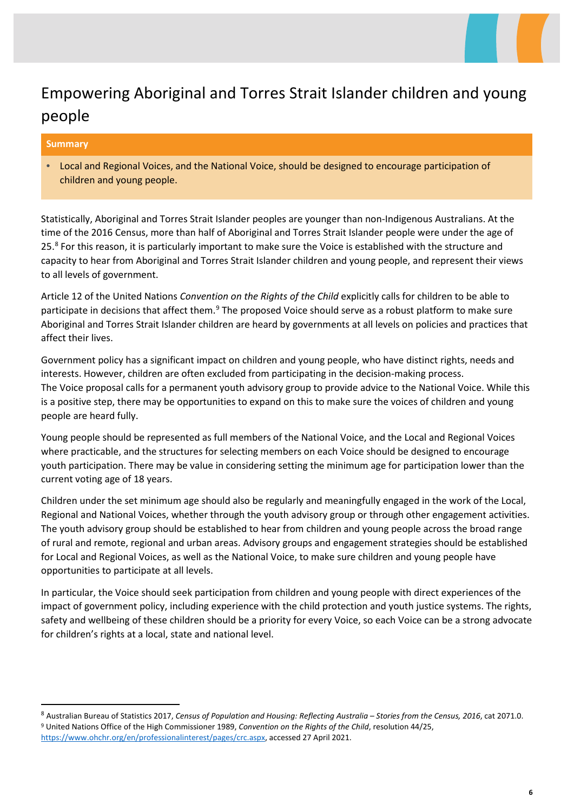## <span id="page-5-0"></span>Empowering Aboriginal and Torres Strait Islander children and young people

### **Summary**

• Local and Regional Voices, and the National Voice, should be designed to encourage participation of children and young people.

Statistically, Aboriginal and Torres Strait Islander peoples are younger than non-Indigenous Australians. At the time of the 2016 Census, more than half of Aboriginal and Torres Strait Islander people were under the age of 25.[8](#page-5-1) For this reason, it is particularly important to make sure the Voice is established with the structure and capacity to hear from Aboriginal and Torres Strait Islander children and young people, and represent their views to all levels of government.

Article 12 of the United Nations *Convention on the Rights of the Child* explicitly calls for children to be able to participate in decisions that affect them.<sup>[9](#page-5-2)</sup> The proposed Voice should serve as a robust platform to make sure Aboriginal and Torres Strait Islander children are heard by governments at all levels on policies and practices that affect their lives.

Government policy has a significant impact on children and young people, who have distinct rights, needs and interests. However, children are often excluded from participating in the decision-making process. The Voice proposal calls for a permanent youth advisory group to provide advice to the National Voice. While this is a positive step, there may be opportunities to expand on this to make sure the voices of children and young people are heard fully.

Young people should be represented as full members of the National Voice, and the Local and Regional Voices where practicable, and the structures for selecting members on each Voice should be designed to encourage youth participation. There may be value in considering setting the minimum age for participation lower than the current voting age of 18 years.

Children under the set minimum age should also be regularly and meaningfully engaged in the work of the Local, Regional and National Voices, whether through the youth advisory group or through other engagement activities. The youth advisory group should be established to hear from children and young people across the broad range of rural and remote, regional and urban areas. Advisory groups and engagement strategies should be established for Local and Regional Voices, as well as the National Voice, to make sure children and young people have opportunities to participate at all levels.

In particular, the Voice should seek participation from children and young people with direct experiences of the impact of government policy, including experience with the child protection and youth justice systems. The rights, safety and wellbeing of these children should be a priority for every Voice, so each Voice can be a strong advocate for children's rights at a local, state and national level.

<span id="page-5-2"></span><span id="page-5-1"></span> <sup>8</sup> Australian Bureau of Statistics 2017, *Census of Population and Housing: Reflecting Australia – Stories from the Census, 2016*, cat 2071.0. <sup>9</sup> United Nations Office of the High Commissioner 1989, *Convention on the Rights of the Child*, resolution 44/25, [https://www.ohchr.org/en/professionalinterest/pages/crc.aspx,](https://www.ohchr.org/en/professionalinterest/pages/crc.aspx) accessed 27 April 2021.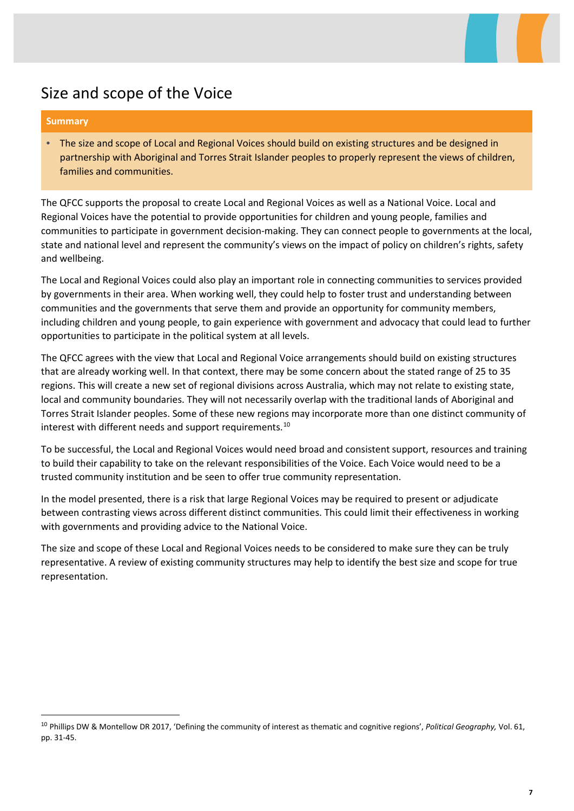## Size and scope of the Voice

### **Summary**

• The size and scope of Local and Regional Voices should build on existing structures and be designed in partnership with Aboriginal and Torres Strait Islander peoples to properly represent the views of children, families and communities.

The QFCC supports the proposal to create Local and Regional Voices as well as a National Voice. Local and Regional Voices have the potential to provide opportunities for children and young people, families and communities to participate in government decision-making. They can connect people to governments at the local, state and national level and represent the community's views on the impact of policy on children's rights, safety and wellbeing.

The Local and Regional Voices could also play an important role in connecting communities to services provided by governments in their area. When working well, they could help to foster trust and understanding between communities and the governments that serve them and provide an opportunity for community members, including children and young people, to gain experience with government and advocacy that could lead to further opportunities to participate in the political system at all levels.

The QFCC agrees with the view that Local and Regional Voice arrangements should build on existing structures that are already working well. In that context, there may be some concern about the stated range of 25 to 35 regions. This will create a new set of regional divisions across Australia, which may not relate to existing state, local and community boundaries. They will not necessarily overlap with the traditional lands of Aboriginal and Torres Strait Islander peoples. Some of these new regions may incorporate more than one distinct community of interest with different needs and support requirements.<sup>[10](#page-6-0)</sup>

To be successful, the Local and Regional Voices would need broad and consistent support, resources and training to build their capability to take on the relevant responsibilities of the Voice. Each Voice would need to be a trusted community institution and be seen to offer true community representation.

In the model presented, there is a risk that large Regional Voices may be required to present or adjudicate between contrasting views across different distinct communities. This could limit their effectiveness in working with governments and providing advice to the National Voice.

The size and scope of these Local and Regional Voices needs to be considered to make sure they can be truly representative. A review of existing community structures may help to identify the best size and scope for true representation.

<span id="page-6-0"></span> <sup>10</sup> Phillips DW & Montellow DR 2017, 'Defining the community of interest as thematic and cognitive regions', *Political Geography,* Vol. 61, pp. 31-45.